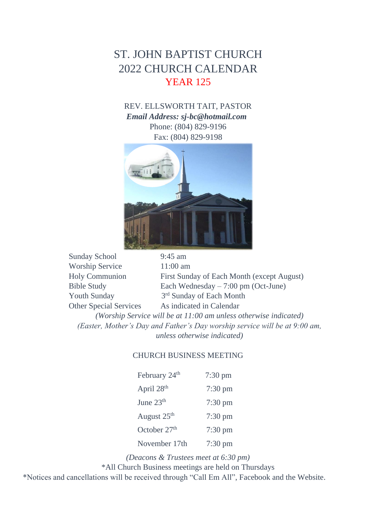# ST. JOHN BAPTIST CHURCH 2022 CHURCH CALENDAR YEAR 125

REV. ELLSWORTH TAIT, PASTOR *Email Address: sj-bc@hotmail.com*  Phone: (804) 829-9196 Fax: (804) 829-9198



| <b>Sunday School</b>                                                       | $9:45$ am                                    |  |
|----------------------------------------------------------------------------|----------------------------------------------|--|
| <b>Worship Service</b>                                                     | $11:00$ am                                   |  |
| <b>Holy Communion</b>                                                      | First Sunday of Each Month (except August)   |  |
| <b>Bible Study</b>                                                         | Each Wednesday $-7:00 \text{ pm}$ (Oct-June) |  |
| <b>Youth Sunday</b>                                                        | 3 <sup>rd</sup> Sunday of Each Month         |  |
| <b>Other Special Services</b>                                              | As indicated in Calendar                     |  |
| (Worship Service will be at 11:00 am unless otherwise indicated)           |                                              |  |
| (Easter, Mother's Day and Father's Day worship service will be at 9:00 am, |                                              |  |
| unless otherwise indicated)                                                |                                              |  |

#### CHURCH BUSINESS MEETING

| February 24 <sup>th</sup> | $7:30$ pm         |
|---------------------------|-------------------|
| April 28 <sup>th</sup>    | $7:30 \text{ pm}$ |
| June 23 <sup>th</sup>     | $7:30 \text{ pm}$ |
| August 25 <sup>th</sup>   | $7:30 \text{ pm}$ |
| October $27th$            | $7:30 \text{ pm}$ |
| November 17th             | $7:30 \text{ pm}$ |

*(Deacons & Trustees meet at 6:30 pm)*

\*All Church Business meetings are held on Thursdays

\*Notices and cancellations will be received through "Call Em All", Facebook and the Website.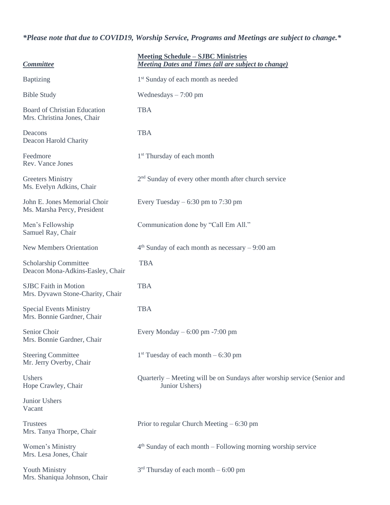### *\*Please note that due to COVID19, Worship Service, Programs and Meetings are subject to change.\**

| <b>Committee</b>                                                   | <b>Meeting Schedule – SJBC Ministries</b><br><b>Meeting Dates and Times (all are subject to change)</b> |
|--------------------------------------------------------------------|---------------------------------------------------------------------------------------------------------|
| <b>Baptizing</b>                                                   | 1 <sup>st</sup> Sunday of each month as needed                                                          |
| <b>Bible Study</b>                                                 | Wednesdays $-7:00$ pm                                                                                   |
| <b>Board of Christian Education</b><br>Mrs. Christina Jones, Chair | <b>TBA</b>                                                                                              |
| Deacons<br>Deacon Harold Charity                                   | <b>TBA</b>                                                                                              |
| Feedmore<br>Rev. Vance Jones                                       | 1 <sup>st</sup> Thursday of each month                                                                  |
| <b>Greeters Ministry</b><br>Ms. Evelyn Adkins, Chair               | $2nd$ Sunday of every other month after church service                                                  |
| John E. Jones Memorial Choir<br>Ms. Marsha Percy, President        | Every Tuesday $-6:30$ pm to 7:30 pm                                                                     |
| Men's Fellowship<br>Samuel Ray, Chair                              | Communication done by "Call Em All."                                                                    |
| <b>New Members Orientation</b>                                     | $4th$ Sunday of each month as necessary $-9:00$ am                                                      |
| Scholarship Committee<br>Deacon Mona-Adkins-Easley, Chair          | <b>TBA</b>                                                                                              |
| <b>SJBC</b> Faith in Motion<br>Mrs. Dyvawn Stone-Charity, Chair    | <b>TBA</b>                                                                                              |
| <b>Special Events Ministry</b><br>Mrs. Bonnie Gardner, Chair       | <b>TBA</b>                                                                                              |
| Senior Choir<br>Mrs. Bonnie Gardner, Chair                         | Every Monday $-6:00$ pm $-7:00$ pm                                                                      |
| <b>Steering Committee</b><br>Mr. Jerry Overby, Chair               | $1st$ Tuesday of each month – 6:30 pm                                                                   |
| Ushers<br>Hope Crawley, Chair                                      | Quarterly – Meeting will be on Sundays after worship service (Senior and<br>Junior Ushers)              |
| Junior Ushers<br>Vacant                                            |                                                                                                         |
| <b>Trustees</b><br>Mrs. Tanya Thorpe, Chair                        | Prior to regular Church Meeting $-6:30$ pm                                                              |
| Women's Ministry<br>Mrs. Lesa Jones, Chair                         | $4th$ Sunday of each month – Following morning worship service                                          |
| <b>Youth Ministry</b><br>Mrs. Shaniqua Johnson, Chair              | $3rd$ Thursday of each month $-6:00$ pm                                                                 |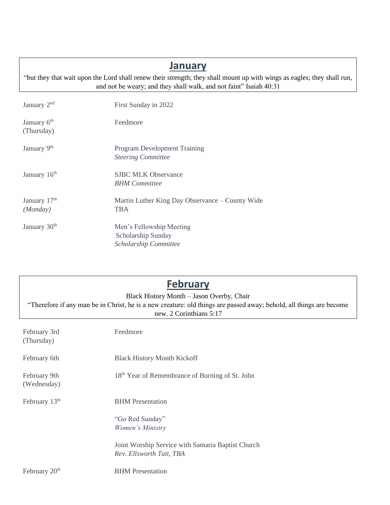| <b>January</b>                                                                                                                                                                                |                                                                         |  |
|-----------------------------------------------------------------------------------------------------------------------------------------------------------------------------------------------|-------------------------------------------------------------------------|--|
| "but they that wait upon the Lord shall renew their strength; they shall mount up with wings as eagles; they shall run,<br>and not be weary; and they shall walk, and not faint" Isaiah 40:31 |                                                                         |  |
| January 2 <sup>nd</sup>                                                                                                                                                                       | First Sunday in 2022                                                    |  |
| January 6 <sup>th</sup><br>(Thursday)                                                                                                                                                         | Feedmore                                                                |  |
| January 9th                                                                                                                                                                                   | <b>Program Development Training</b><br><b>Steering Committee</b>        |  |
| January 16 <sup>th</sup>                                                                                                                                                                      | <b>SJBC MLK Observance</b><br><b>BHM</b> Committee                      |  |
| January 17th<br>(Monday)                                                                                                                                                                      | Martin Luther King Day Observance – County Wide<br><b>TBA</b>           |  |
| January 30 <sup>th</sup>                                                                                                                                                                      | Men's Fellowship Meeting<br>Scholarship Sunday<br>Scholarship Committee |  |

| <b>February</b><br>Black History Month - Jason Overby, Chair<br>"Therefore if any man be in Christ, he is a new creature: old things are passed away; behold, all things are become<br>new. 2 Corinthians 5:17 |                                                                               |  |
|----------------------------------------------------------------------------------------------------------------------------------------------------------------------------------------------------------------|-------------------------------------------------------------------------------|--|
| February 3rd<br>(Thursday)                                                                                                                                                                                     | Feedmore                                                                      |  |
| February 6th                                                                                                                                                                                                   | <b>Black History Month Kickoff</b>                                            |  |
| February 9th<br>(Wednesday)                                                                                                                                                                                    | 18 <sup>th</sup> Year of Remembrance of Burning of St. John                   |  |
| February $13th$                                                                                                                                                                                                | <b>BHM</b> Presentation                                                       |  |
|                                                                                                                                                                                                                | "Go Red Sunday"<br>Women's Ministry                                           |  |
|                                                                                                                                                                                                                | Joint Worship Service with Samaria Baptist Church<br>Rev. Ellsworth Tait, TBA |  |
| February 20 <sup>th</sup>                                                                                                                                                                                      | <b>BHM</b> Presentation                                                       |  |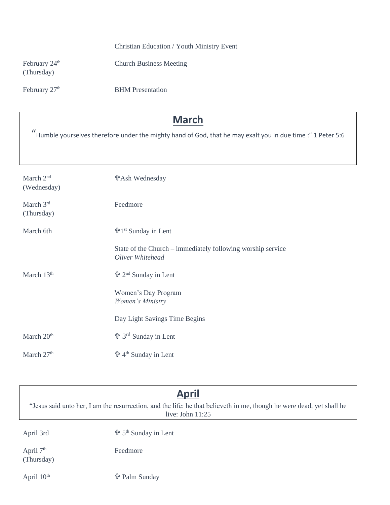#### Christian Education / Youth Ministry Event

February 24<sup>th</sup> Church Business Meeting (Thursday)

February 27<sup>th</sup> BHM Presentation

## **March**

" Humble yourselves therefore under the mighty hand of God, that he may exalt you in due time :" 1 Peter 5:6

| March 2 <sup>nd</sup><br>(Wednesday) | <b>廿Ash Wednesday</b>                                                           |
|--------------------------------------|---------------------------------------------------------------------------------|
| March 3rd<br>(Thursday)              | Feedmore                                                                        |
| March 6th                            | 守1 <sup>st</sup> Sunday in Lent                                                 |
|                                      | State of the Church – immediately following worship service<br>Oliver Whitehead |
| March $13th$                         | $\mathbf{\hat{u}}$ 2 <sup>nd</sup> Sunday in Lent                               |
|                                      | Women's Day Program<br>Women's Ministry                                         |
|                                      | Day Light Savings Time Begins                                                   |
| March 20 <sup>th</sup>               | $\Phi$ 3 <sup>rd</sup> Sunday in Lent                                           |
| March 27 <sup>th</sup>               | $\Phi$ 4 <sup>th</sup> Sunday in Lent                                           |

### **April**

"Jesus said unto her, I am the resurrection, and the life: he that believeth in me, though he were dead, yet shall he live: John 11:25

April 3rd

th Sunday in Lent

April 7<sup>th</sup> Feedmore (Thursday)

April  $10^{\text{th}}$  **+ Palm Sunday**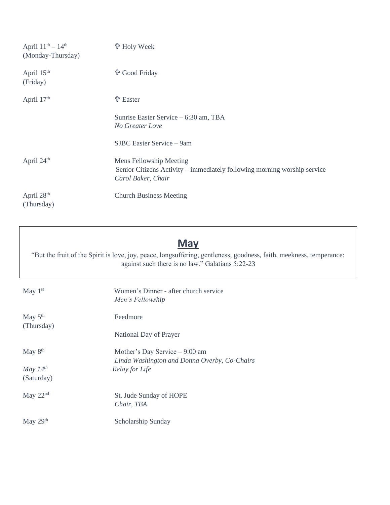| April $11^{th} - 14^{th}$<br>(Monday-Thursday) | <b>t</b> Holy Week                                                                                                        |
|------------------------------------------------|---------------------------------------------------------------------------------------------------------------------------|
| April 15 <sup>th</sup><br>(Friday)             | <b>th</b> Good Friday                                                                                                     |
| April 17th                                     | <b>t</b> Easter                                                                                                           |
|                                                | Sunrise Easter Service – 6:30 am, TBA<br>No Greater Love                                                                  |
|                                                | SJBC Easter Service – 9am                                                                                                 |
| April 24th                                     | Mens Fellowship Meeting<br>Senior Citizens Activity – immediately following morning worship service<br>Carol Baker, Chair |
| April 28 <sup>th</sup><br>(Thursday)           | <b>Church Business Meeting</b>                                                                                            |

## **May**

"But the fruit of the Spirit is love, joy, peace, longsuffering, gentleness, goodness, faith, meekness, temperance: against such there is no law." Galatians 5:22-23

| May $1st$                   | Women's Dinner - after church service<br>Men's Fellowship      |
|-----------------------------|----------------------------------------------------------------|
| May $5th$<br>(Thursday)     | Feedmore                                                       |
|                             | National Day of Prayer                                         |
| May $8th$                   | Mother's Day Service - 9:00 am                                 |
| May $14^{th}$<br>(Saturday) | Linda Washington and Donna Overby, Co-Chairs<br>Relay for Life |
| May $22nd$                  | St. Jude Sunday of HOPE<br>Chair, TBA                          |
| May $29th$                  | Scholarship Sunday                                             |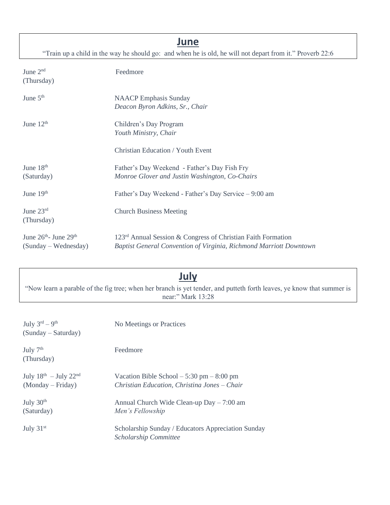### **June**

"Train up a child in the way he should go: and when he is old, he will not depart from it." Proverb 22:6

June 2<sup>nd</sup> (Thursday) Feedmore

| June $5th$  | <b>NAACP</b> Emphasis Sunday<br>Deacon Byron Adkins, Sr., Chair |
|-------------|-----------------------------------------------------------------|
| June $12th$ | Children's Day Program<br>Youth Ministry, Chair                 |
|             | <b>Christian Education / Youth Event</b>                        |

| June $18th$               | Father's Day Weekend - Father's Day Fish Fry                             |
|---------------------------|--------------------------------------------------------------------------|
| (Saturday)                | Monroe Glover and Justin Washington, Co-Chairs                           |
| June $19th$               | Father's Day Weekend - Father's Day Service – 9:00 am                    |
| June $23rd$<br>(Thursday) | <b>Church Business Meeting</b>                                           |
| June $26th$ - June $29th$ | 123 <sup>rd</sup> Annual Session & Congress of Christian Faith Formation |
| $(Sunday - Wednesday)$    | Baptist General Convention of Virginia, Richmond Marriott Downtown       |

# **July**

"Now learn a parable of the fig tree; when her branch is yet tender, and putteth forth leaves, ye know that summer is near:" Mark 13:28

| July $3^{\text{rd}} - 9^{\text{th}}$<br>$(Sunday - Saturday)$ | No Meetings or Practices                                                                    |
|---------------------------------------------------------------|---------------------------------------------------------------------------------------------|
| July $7th$<br>(Thursday)                                      | Feedmore                                                                                    |
| July $18^{th}$ - July $22^{nd}$<br>$(Monday-Friday)$          | Vacation Bible School $-5:30$ pm $-8:00$ pm<br>Christian Education, Christina Jones - Chair |
| July $30th$<br>(Saturday)                                     | Annual Church Wide Clean-up $Day - 7:00$ am<br>Men's Fellowship                             |
| July $31st$                                                   | Scholarship Sunday / Educators Appreciation Sunday<br>Scholarship Committee                 |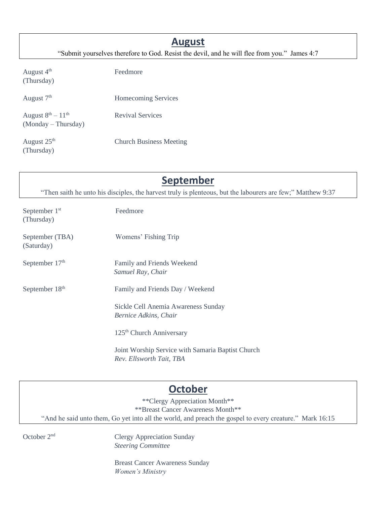### **August**

"Submit yourselves therefore to God. Resist the devil, and he will flee from you." James 4:7

August 4<sup>th</sup> Feedmore (Thursday)

| August 7 <sup>th</sup>                             | Homecoming Services            |
|----------------------------------------------------|--------------------------------|
| August $8^{th} - 11^{th}$<br>$(Monday - Thursday)$ | <b>Revival Services</b>        |
| August 25 <sup>th</sup><br>(Thursday)              | <b>Church Business Meeting</b> |

## **September**

"Then saith he unto his disciples, the harvest truly is plenteous, but the labourers are few;" Matthew 9:37

| September 1 <sup>st</sup><br>(Thursday) | Feedmore                                                                      |
|-----------------------------------------|-------------------------------------------------------------------------------|
| September (TBA)<br>(Saturday)           | Womens' Fishing Trip                                                          |
| September 17 <sup>th</sup>              | Family and Friends Weekend<br>Samuel Ray, Chair                               |
| September 18 <sup>th</sup>              | Family and Friends Day / Weekend                                              |
|                                         | Sickle Cell Anemia Awareness Sunday<br>Bernice Adkins, Chair                  |
|                                         | 125 <sup>th</sup> Church Anniversary                                          |
|                                         | Joint Worship Service with Samaria Baptist Church<br>Rev. Ellsworth Tait, TBA |

## **October**

\*\*Clergy Appreciation Month\*\* \*\*Breast Cancer Awareness Month\*\* "And he said unto them, Go yet into all the world, and preach the gospel to every creature." Mark 16:15

October 2 nd

 Clergy Appreciation Sunday *Steering Committee*

Breast Cancer Awareness Sunday *Women's Ministry*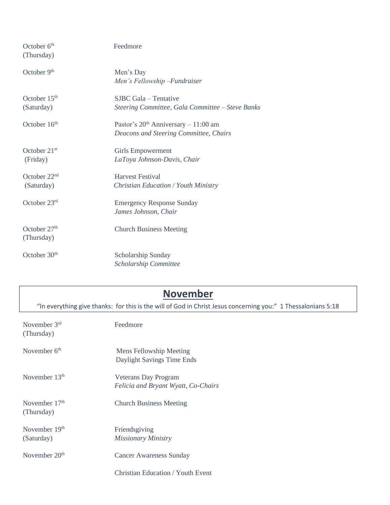| October 6 <sup>th</sup><br>(Thursday)  | Feedmore                                                                          |
|----------------------------------------|-----------------------------------------------------------------------------------|
| October 9 <sup>th</sup>                | Men's Day<br>Men's Fellowship - Fundraiser                                        |
| October 15 <sup>th</sup><br>(Saturday) | SJBC Gala – Tentative<br>Steering Committee, Gala Committee - Steve Banks         |
| October 16 <sup>th</sup>               | Pastor's $20th$ Anniversary $-11:00$ am<br>Deacons and Steering Committee, Chairs |
| October 21 <sup>st</sup><br>(Friday)   | <b>Girls Empowerment</b><br>LaToya Johnson-Davis, Chair                           |
| October $22nd$<br>(Saturday)           | <b>Harvest Festival</b><br><b>Christian Education / Youth Ministry</b>            |
| October 23rd                           | <b>Emergency Response Sunday</b><br>James Johnson, Chair                          |
| October 27 <sup>th</sup><br>(Thursday) | <b>Church Business Meeting</b>                                                    |
| October $30th$                         | Scholarship Sunday<br>Scholarship Committee                                       |

# **November**

"In everything give thanks: for this is the will of God in Christ Jesus concerning you:" 1 Thessalonians 5:18

| November $3rd$<br>(Thursday)  | Feedmore                                                    |
|-------------------------------|-------------------------------------------------------------|
| November 6 <sup>th</sup>      | Mens Fellowship Meeting<br>Daylight Savings Time Ends       |
| November $13th$               | Veterans Day Program<br>Felicia and Bryant Wyatt, Co-Chairs |
| November $17th$<br>(Thursday) | <b>Church Business Meeting</b>                              |
| November $19th$<br>(Saturday) | Friendsgiving<br>Missionary Ministry                        |
| November $20th$               | Cancer Awareness Sunday                                     |
|                               | Christian Education / Youth Event                           |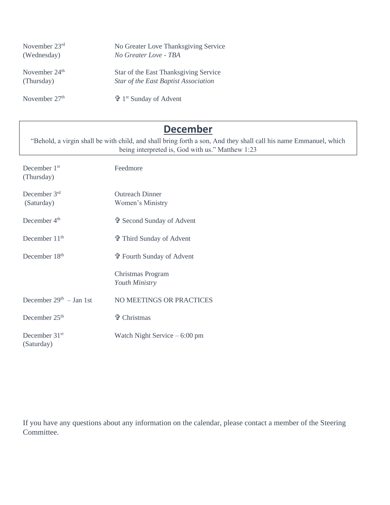| November $23rd$ | No Greater Love Thanksgiving Service                |
|-----------------|-----------------------------------------------------|
| (Wednesday)     | No Greater Love - TBA                               |
| November $24th$ | Star of the East Thanksgiving Service               |
| (Thursday)      | Star of the East Baptist Association                |
| November $27th$ | $\mathbf{\hat{F}}$ 1 <sup>st</sup> Sunday of Advent |

# **December**

"Behold, a virgin shall be with child, and shall bring forth a son, And they shall call his name Emmanuel, which being interpreted is, God with us." Matthew 1:23

| December 1 <sup>st</sup><br>(Thursday)  | Feedmore                                   |
|-----------------------------------------|--------------------------------------------|
| December $3rd$<br>(Saturday)            | <b>Outreach Dinner</b><br>Women's Ministry |
| December $4th$                          | † Second Sunday of Advent                  |
| December 11 <sup>th</sup>               | † Third Sunday of Advent                   |
| December 18 <sup>th</sup>               | <b>廿 Fourth Sunday of Advent</b>           |
|                                         | Christmas Program<br><b>Youth Ministry</b> |
| December $29th - Jan 1st$               | NO MEETINGS OR PRACTICES                   |
| December $25th$                         | <b>廿 Christmas</b>                         |
| December 31 <sup>st</sup><br>(Saturday) | Watch Night Service $-6:00$ pm             |

If you have any questions about any information on the calendar, please contact a member of the Steering Committee.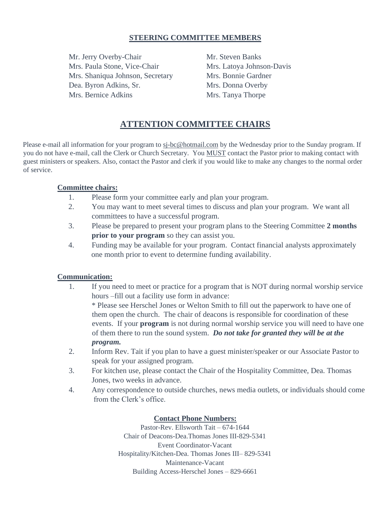#### **STEERING COMMITTEE MEMBERS**

Mr. Jerry Overby-Chair Mr. Steven Banks Mrs. Paula Stone, Vice-Chair Mrs. Latoya Johnson-Davis Mrs. Shaniqua Johnson, Secretary Mrs. Bonnie Gardner Dea. Byron Adkins, Sr. Mrs. Donna Overby Mrs. Bernice Adkins Mrs. Tanya Thorpe

### **ATTENTION COMMITTEE CHAIRS**

Please e-mail all information for your program to sj-bc@hotmail.com by the Wednesday prior to the Sunday program. If you do not have e-mail, call the Clerk or Church Secretary. You MUST contact the Pastor prior to making contact with guest ministers or speakers. Also, contact the Pastor and clerk if you would like to make any changes to the normal order of service.

#### **Committee chairs:**

- 1. Please form your committee early and plan your program.
- 2. You may want to meet several times to discuss and plan your program. We want all committees to have a successful program.
- 3. Please be prepared to present your program plans to the Steering Committee **2 months prior to your program** so they can assist you.
- 4. Funding may be available for your program. Contact financial analysts approximately one month prior to event to determine funding availability.

#### **Communication:**

1. If you need to meet or practice for a program that is NOT during normal worship service hours –fill out a facility use form in advance:

\* Please see Herschel Jones or Welton Smith to fill out the paperwork to have one of them open the church. The chair of deacons is responsible for coordination of these events. If your **program** is not during normal worship service you will need to have one of them there to run the sound system. *Do not take for granted they will be at the program.* 

- 2. Inform Rev. Tait if you plan to have a guest minister/speaker or our Associate Pastor to speak for your assigned program.
- 3. For kitchen use, please contact the Chair of the Hospitality Committee, Dea. Thomas Jones, two weeks in advance.
- 4. Any correspondence to outside churches, news media outlets, or individuals should come from the Clerk's office.

#### **Contact Phone Numbers:**

Pastor-Rev. Ellsworth Tait – 674-1644 Chair of Deacons-Dea.Thomas Jones III-829-5341 Event Coordinator-Vacant Hospitality/Kitchen-Dea. Thomas Jones III– 829-5341 Maintenance-Vacant Building Access-Herschel Jones – 829-6661